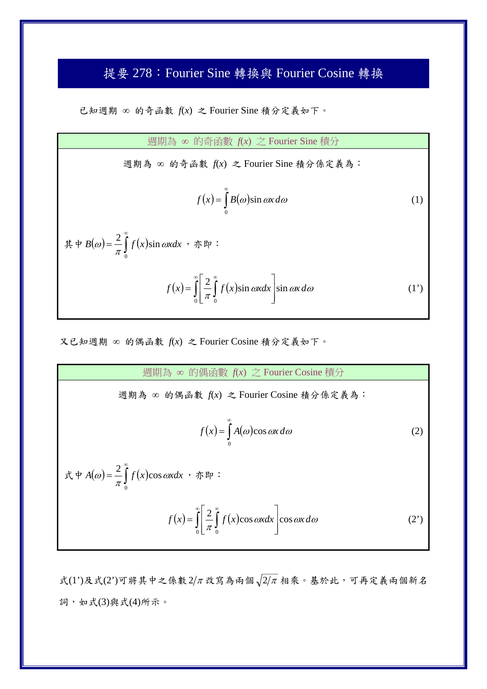## 提要 278:Fourier Sine 轉換與 Fourier Cosine 轉換

已知週期 的奇函數 *f*(*x*) 之 Fourier Sine 積分定義如下。

週期為 的奇函數 *f*(*x*) 之 Fourier Sine 積分 週期為 的奇函數 *f*(*x*) 之 Fourier Sine 積分係定義為:  $(x) = \int B(\omega)$ œ  $=$  $\mathbf{0}$  $f(x) = |B(\omega)\sin \omega x \, d\omega$  (1) 其中  $B(\omega) = \frac{2}{\pi} \int f(x)$  $\infty$  $=$ 0  $B(\omega) = \frac{2}{\pi} \int_{a}^{\infty} f(x) \sin \omega x dx$ ,亦即:  $f(x) = \int \frac{2}{\pi} \int f(x)$ ∞ Г ⊸ ∞  $\overline{\phantom{a}}$  $\overline{\phantom{a}}$  $\overline{\phantom{a}}$  $\overline{\phantom{a}}$  $\mathsf{I}$  $\mathbf{r}$ L  $=\int_{0}^{\infty}$  $0 \sqcup^{\prime\prime} 0$  $\frac{2}{\pi} \int_0^{\infty} f(x) \sin \omega x dx$  sin  $\omega x d\omega$  $f(x) = \int_{\frac{\pi}{4}}^{\infty} \int f(x) \sin \omega x dx$  sin  $\omega x d\omega$  (1')

又已知週期 的偶函數 *f*(*x*) 之 Fourier Cosine 積分定義如下。

週期為 的偶函數 *f*(*x*) 之 Fourier Cosine 積分 週期為 的偶函數 *f*(*x*) 之 Fourier Cosine 積分係定義為: 0 *f x A* cos*x d* (2) 式中 0 cos <sup>2</sup> *<sup>A</sup> <sup>f</sup> <sup>x</sup> xdx* ,亦即: 0 0 cos cos 2 *f x f x xdx x d* (2')

式(1')及式(2')可將其中之係數  $2/\pi$ 改寫為兩個 $\sqrt{2/\pi}$ 相乘。基於此,可再定義兩個新名 詞,如式(3)與式(4)所示。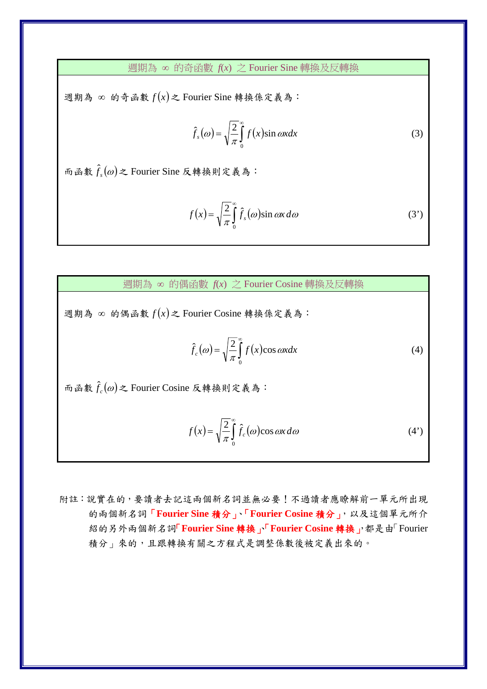週期為 的奇函數 *f*(*x*) 之 Fourier Sine 轉換及反轉換

週期為 的奇函數 *f x* 之 Fourier Sine 轉換係定義為:

$$
\hat{f}_s(\omega) = \sqrt{\frac{2}{\pi}} \int_0^\infty f(x) \sin \omega x dx \tag{3}
$$

 $m$ 函數 $\hat{f}_s(\omega)$ 之 Fourier Sine 反轉換則定義為:

$$
f(x) = \sqrt{\frac{2}{\pi}} \int_{0}^{\infty} \hat{f}_s(\omega) \sin \omega x \, d\omega \tag{3'}
$$

週期為 的偶函數 *f*(*x*) 之 Fourier Cosine 轉換及反轉換

週期為 的偶函數 *f x* 之 Fourier Cosine 轉換係定義為:

$$
\hat{f}_c(\omega) = \sqrt{\frac{2}{\pi}} \int_0^\infty f(x) \cos \omega x dx \tag{4}
$$

 $m \oplus \text{f}_c(\omega)$ 之 Fourier Cosine 反轉換則定義為:

$$
f(x) = \sqrt{\frac{2}{\pi}} \int_{0}^{\infty} \hat{f}_c(\omega) \cos \omega x \, d\omega \tag{4'}
$$

附註:說實在的,要讀者去記這兩個新名詞並無必要!不過讀者應瞭解前一單元所出現 的兩個新名詞「**Fourier Sine** 積分」、「**Fourier Cosine** 積分」,以及這個單元所介 紹的另外兩個新名詞「**Fourier Sine** 轉換」、「**Fourier Cosine** 轉換」,都是由「Fourier 積分」來的,且跟轉換有關之方程式是調整係數後被定義出來的。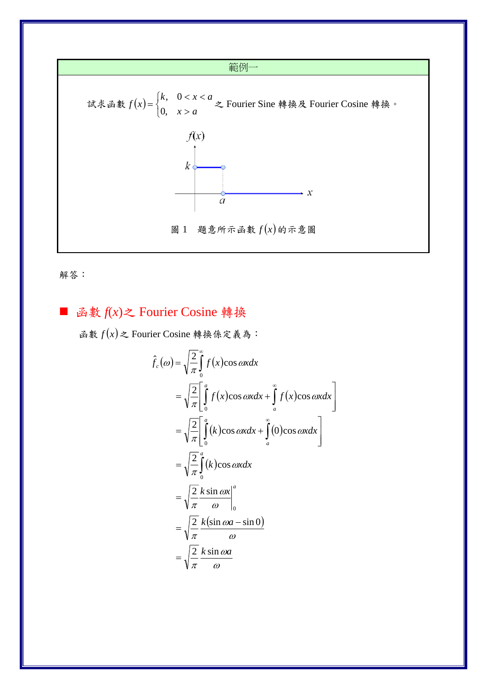



## 函數  $f(x)$ 之 Fourier Cosine 轉換 ×

函數  $f(x)$ 之 Fourier Cosine 轉換係定義為:

$$
\hat{f}_c(\omega) = \sqrt{\frac{2}{\pi}} \int_0^{\infty} f(x) \cos \omega x dx
$$
  
\n
$$
= \sqrt{\frac{2}{\pi}} \left[ \int_0^a f(x) \cos \omega x dx + \int_a^{\infty} f(x) \cos \omega x dx \right]
$$
  
\n
$$
= \sqrt{\frac{2}{\pi}} \left[ \int_0^a (k) \cos \omega x dx + \int_a^{\infty} (0) \cos \omega x dx \right]
$$
  
\n
$$
= \sqrt{\frac{2}{\pi}} \int_0^a (k) \cos \omega x dx
$$
  
\n
$$
= \sqrt{\frac{2}{\pi}} \frac{k \sin \omega x}{\omega} \Big|_0^a
$$
  
\n
$$
= \sqrt{\frac{2}{\pi}} \frac{k (\sin \omega a - \sin 0)}{\omega}
$$
  
\n
$$
= \sqrt{\frac{2}{\pi}} \frac{k \sin \omega a}{\omega}
$$